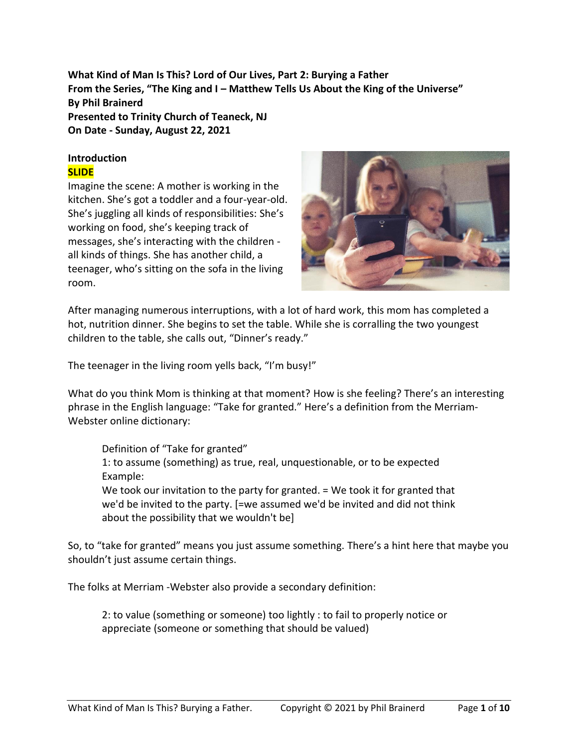**What Kind of Man Is This? Lord of Our Lives, Part 2: Burying a Father From the Series, "The King and I – Matthew Tells Us About the King of the Universe" By Phil Brainerd Presented to Trinity Church of Teaneck, NJ On Date - Sunday, August 22, 2021**

#### **Introduction SLIDE**

Imagine the scene: A mother is working in the kitchen. She's got a toddler and a four-year-old. She's juggling all kinds of responsibilities: She's working on food, she's keeping track of messages, she's interacting with the children all kinds of things. She has another child, a teenager, who's sitting on the sofa in the living room.



After managing numerous interruptions, with a lot of hard work, this mom has completed a hot, nutrition dinner. She begins to set the table. While she is corralling the two youngest children to the table, she calls out, "Dinner's ready."

The teenager in the living room yells back, "I'm busy!"

What do you think Mom is thinking at that moment? How is she feeling? There's an interesting phrase in the English language: "Take for granted." Here's a definition from the Merriam-Webster online dictionary:

Definition of "Take for granted"

1: to assume (something) as true, real, unquestionable, or to be expected Example:

We took our invitation to the party for granted. = We took it for granted that we'd be invited to the party. [=we assumed we'd be invited and did not think about the possibility that we wouldn't be]

So, to "take for granted" means you just assume something. There's a hint here that maybe you shouldn't just assume certain things.

The folks at Merriam -Webster also provide a secondary definition:

2: to value (something or someone) too lightly : to fail to properly notice or appreciate (someone or something that should be valued)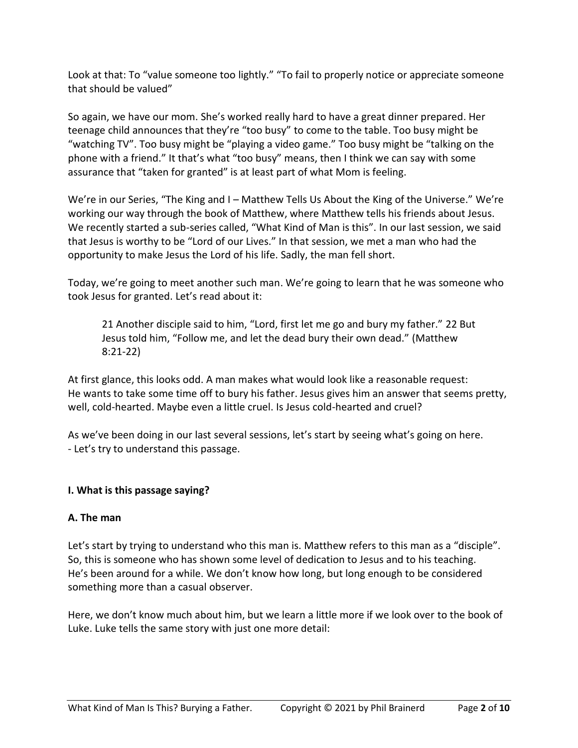Look at that: To "value someone too lightly." "To fail to properly notice or appreciate someone that should be valued"

So again, we have our mom. She's worked really hard to have a great dinner prepared. Her teenage child announces that they're "too busy" to come to the table. Too busy might be "watching TV". Too busy might be "playing a video game." Too busy might be "talking on the phone with a friend." It that's what "too busy" means, then I think we can say with some assurance that "taken for granted" is at least part of what Mom is feeling.

We're in our Series, "The King and I – Matthew Tells Us About the King of the Universe." We're working our way through the book of Matthew, where Matthew tells his friends about Jesus. We recently started a sub-series called, "What Kind of Man is this". In our last session, we said that Jesus is worthy to be "Lord of our Lives." In that session, we met a man who had the opportunity to make Jesus the Lord of his life. Sadly, the man fell short.

Today, we're going to meet another such man. We're going to learn that he was someone who took Jesus for granted. Let's read about it:

21 Another disciple said to him, "Lord, first let me go and bury my father." 22 But Jesus told him, "Follow me, and let the dead bury their own dead." (Matthew 8:21-22)

At first glance, this looks odd. A man makes what would look like a reasonable request: He wants to take some time off to bury his father. Jesus gives him an answer that seems pretty, well, cold-hearted. Maybe even a little cruel. Is Jesus cold-hearted and cruel?

As we've been doing in our last several sessions, let's start by seeing what's going on here. - Let's try to understand this passage.

## **I. What is this passage saying?**

### **A. The man**

Let's start by trying to understand who this man is. Matthew refers to this man as a "disciple". So, this is someone who has shown some level of dedication to Jesus and to his teaching. He's been around for a while. We don't know how long, but long enough to be considered something more than a casual observer.

Here, we don't know much about him, but we learn a little more if we look over to the book of Luke. Luke tells the same story with just one more detail: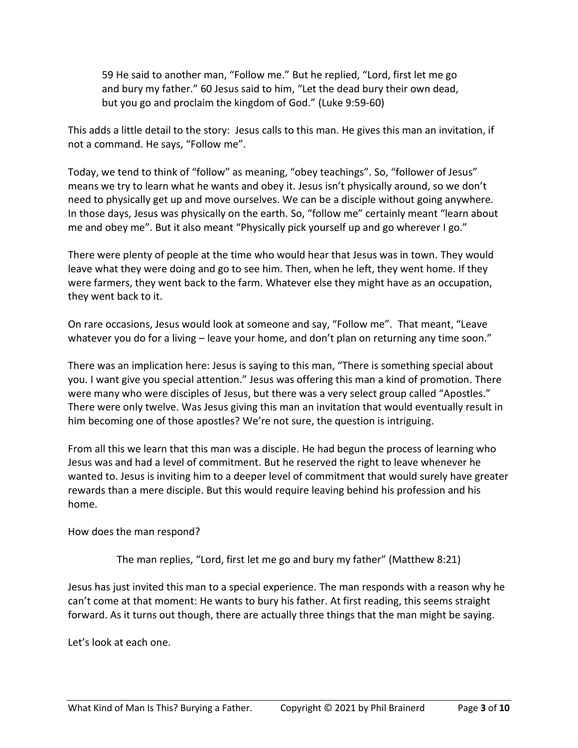59 He said to another man, "Follow me." But he replied, "Lord, first let me go and bury my father." 60 Jesus said to him, "Let the dead bury their own dead, but you go and proclaim the kingdom of God." (Luke 9:59-60)

This adds a little detail to the story: Jesus calls to this man. He gives this man an invitation, if not a command. He says, "Follow me".

Today, we tend to think of "follow" as meaning, "obey teachings". So, "follower of Jesus" means we try to learn what he wants and obey it. Jesus isn't physically around, so we don't need to physically get up and move ourselves. We can be a disciple without going anywhere. In those days, Jesus was physically on the earth. So, "follow me" certainly meant "learn about me and obey me". But it also meant "Physically pick yourself up and go wherever I go."

There were plenty of people at the time who would hear that Jesus was in town. They would leave what they were doing and go to see him. Then, when he left, they went home. If they were farmers, they went back to the farm. Whatever else they might have as an occupation, they went back to it.

On rare occasions, Jesus would look at someone and say, "Follow me". That meant, "Leave whatever you do for a living – leave your home, and don't plan on returning any time soon."

There was an implication here: Jesus is saying to this man, "There is something special about you. I want give you special attention." Jesus was offering this man a kind of promotion. There were many who were disciples of Jesus, but there was a very select group called "Apostles." There were only twelve. Was Jesus giving this man an invitation that would eventually result in him becoming one of those apostles? We're not sure, the question is intriguing.

From all this we learn that this man was a disciple. He had begun the process of learning who Jesus was and had a level of commitment. But he reserved the right to leave whenever he wanted to. Jesus is inviting him to a deeper level of commitment that would surely have greater rewards than a mere disciple. But this would require leaving behind his profession and his home.

How does the man respond?

The man replies, "Lord, first let me go and bury my father" (Matthew 8:21)

Jesus has just invited this man to a special experience. The man responds with a reason why he can't come at that moment: He wants to bury his father. At first reading, this seems straight forward. As it turns out though, there are actually three things that the man might be saying.

Let's look at each one.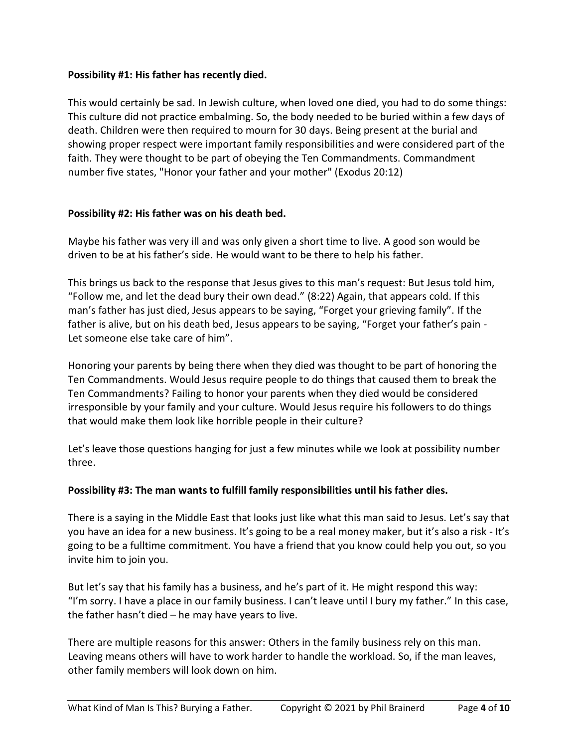## **Possibility #1: His father has recently died.**

This would certainly be sad. In Jewish culture, when loved one died, you had to do some things: This culture did not practice embalming. So, the body needed to be buried within a few days of death. Children were then required to mourn for 30 days. Being present at the burial and showing proper respect were important family responsibilities and were considered part of the faith. They were thought to be part of obeying the Ten Commandments. Commandment number five states, "Honor your father and your mother" (Exodus 20:12)

## **Possibility #2: His father was on his death bed.**

Maybe his father was very ill and was only given a short time to live. A good son would be driven to be at his father's side. He would want to be there to help his father.

This brings us back to the response that Jesus gives to this man's request: But Jesus told him, "Follow me, and let the dead bury their own dead." (8:22) Again, that appears cold. If this man's father has just died, Jesus appears to be saying, "Forget your grieving family". If the father is alive, but on his death bed, Jesus appears to be saying, "Forget your father's pain - Let someone else take care of him".

Honoring your parents by being there when they died was thought to be part of honoring the Ten Commandments. Would Jesus require people to do things that caused them to break the Ten Commandments? Failing to honor your parents when they died would be considered irresponsible by your family and your culture. Would Jesus require his followers to do things that would make them look like horrible people in their culture?

Let's leave those questions hanging for just a few minutes while we look at possibility number three.

### **Possibility #3: The man wants to fulfill family responsibilities until his father dies.**

There is a saying in the Middle East that looks just like what this man said to Jesus. Let's say that you have an idea for a new business. It's going to be a real money maker, but it's also a risk - It's going to be a fulltime commitment. You have a friend that you know could help you out, so you invite him to join you.

But let's say that his family has a business, and he's part of it. He might respond this way: "I'm sorry. I have a place in our family business. I can't leave until I bury my father." In this case, the father hasn't died  $-$  he may have years to live.

There are multiple reasons for this answer: Others in the family business rely on this man. Leaving means others will have to work harder to handle the workload. So, if the man leaves, other family members will look down on him.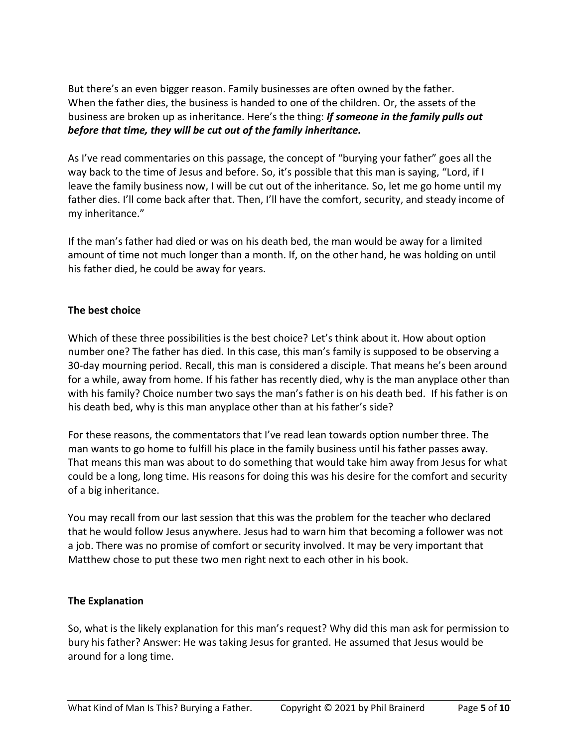But there's an even bigger reason. Family businesses are often owned by the father. When the father dies, the business is handed to one of the children. Or, the assets of the business are broken up as inheritance. Here's the thing: *If someone in the family pulls out before that time, they will be cut out of the family inheritance.*

As I've read commentaries on this passage, the concept of "burying your father" goes all the way back to the time of Jesus and before. So, it's possible that this man is saying, "Lord, if I leave the family business now, I will be cut out of the inheritance. So, let me go home until my father dies. I'll come back after that. Then, I'll have the comfort, security, and steady income of my inheritance."

If the man's father had died or was on his death bed, the man would be away for a limited amount of time not much longer than a month. If, on the other hand, he was holding on until his father died, he could be away for years.

## **The best choice**

Which of these three possibilities is the best choice? Let's think about it. How about option number one? The father has died. In this case, this man's family is supposed to be observing a 30-day mourning period. Recall, this man is considered a disciple. That means he's been around for a while, away from home. If his father has recently died, why is the man anyplace other than with his family? Choice number two says the man's father is on his death bed. If his father is on his death bed, why is this man anyplace other than at his father's side?

For these reasons, the commentators that I've read lean towards option number three. The man wants to go home to fulfill his place in the family business until his father passes away. That means this man was about to do something that would take him away from Jesus for what could be a long, long time. His reasons for doing this was his desire for the comfort and security of a big inheritance.

You may recall from our last session that this was the problem for the teacher who declared that he would follow Jesus anywhere. Jesus had to warn him that becoming a follower was not a job. There was no promise of comfort or security involved. It may be very important that Matthew chose to put these two men right next to each other in his book.

### **The Explanation**

So, what is the likely explanation for this man's request? Why did this man ask for permission to bury his father? Answer: He was taking Jesus for granted. He assumed that Jesus would be around for a long time.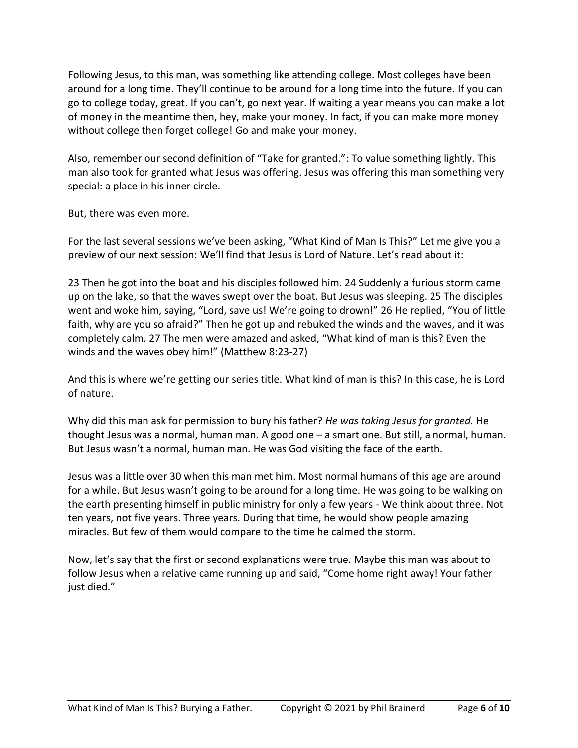Following Jesus, to this man, was something like attending college. Most colleges have been around for a long time. They'll continue to be around for a long time into the future. If you can go to college today, great. If you can't, go next year. If waiting a year means you can make a lot of money in the meantime then, hey, make your money. In fact, if you can make more money without college then forget college! Go and make your money.

Also, remember our second definition of "Take for granted.": To value something lightly. This man also took for granted what Jesus was offering. Jesus was offering this man something very special: a place in his inner circle.

But, there was even more.

For the last several sessions we've been asking, "What Kind of Man Is This?" Let me give you a preview of our next session: We'll find that Jesus is Lord of Nature. Let's read about it:

23 Then he got into the boat and his disciples followed him. 24 Suddenly a furious storm came up on the lake, so that the waves swept over the boat. But Jesus was sleeping. 25 The disciples went and woke him, saying, "Lord, save us! We're going to drown!" 26 He replied, "You of little faith, why are you so afraid?" Then he got up and rebuked the winds and the waves, and it was completely calm. 27 The men were amazed and asked, "What kind of man is this? Even the winds and the waves obey him!" (Matthew 8:23-27)

And this is where we're getting our series title. What kind of man is this? In this case, he is Lord of nature.

Why did this man ask for permission to bury his father? *He was taking Jesus for granted.* He thought Jesus was a normal, human man. A good one – a smart one. But still, a normal, human. But Jesus wasn't a normal, human man. He was God visiting the face of the earth.

Jesus was a little over 30 when this man met him. Most normal humans of this age are around for a while. But Jesus wasn't going to be around for a long time. He was going to be walking on the earth presenting himself in public ministry for only a few years - We think about three. Not ten years, not five years. Three years. During that time, he would show people amazing miracles. But few of them would compare to the time he calmed the storm.

Now, let's say that the first or second explanations were true. Maybe this man was about to follow Jesus when a relative came running up and said, "Come home right away! Your father just died."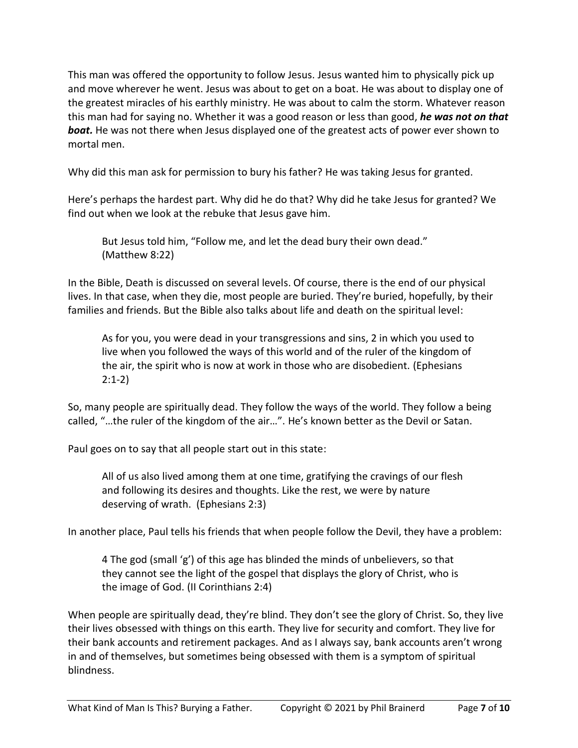This man was offered the opportunity to follow Jesus. Jesus wanted him to physically pick up and move wherever he went. Jesus was about to get on a boat. He was about to display one of the greatest miracles of his earthly ministry. He was about to calm the storm. Whatever reason this man had for saying no. Whether it was a good reason or less than good, *he was not on that boat.* He was not there when Jesus displayed one of the greatest acts of power ever shown to mortal men.

Why did this man ask for permission to bury his father? He was taking Jesus for granted.

Here's perhaps the hardest part. Why did he do that? Why did he take Jesus for granted? We find out when we look at the rebuke that Jesus gave him.

But Jesus told him, "Follow me, and let the dead bury their own dead." (Matthew 8:22)

In the Bible, Death is discussed on several levels. Of course, there is the end of our physical lives. In that case, when they die, most people are buried. They're buried, hopefully, by their families and friends. But the Bible also talks about life and death on the spiritual level:

As for you, you were dead in your transgressions and sins, 2 in which you used to live when you followed the ways of this world and of the ruler of the kingdom of the air, the spirit who is now at work in those who are disobedient. (Ephesians 2:1-2)

So, many people are spiritually dead. They follow the ways of the world. They follow a being called, "…the ruler of the kingdom of the air…". He's known better as the Devil or Satan.

Paul goes on to say that all people start out in this state:

All of us also lived among them at one time, gratifying the cravings of our flesh and following its desires and thoughts. Like the rest, we were by nature deserving of wrath. (Ephesians 2:3)

In another place, Paul tells his friends that when people follow the Devil, they have a problem:

4 The god (small 'g') of this age has blinded the minds of unbelievers, so that they cannot see the light of the gospel that displays the glory of Christ, who is the image of God. (II Corinthians 2:4)

When people are spiritually dead, they're blind. They don't see the glory of Christ. So, they live their lives obsessed with things on this earth. They live for security and comfort. They live for their bank accounts and retirement packages. And as I always say, bank accounts aren't wrong in and of themselves, but sometimes being obsessed with them is a symptom of spiritual blindness.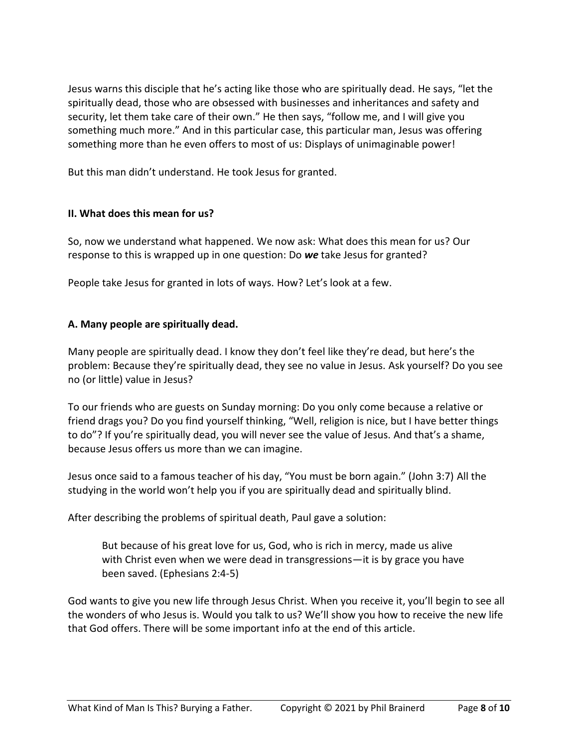Jesus warns this disciple that he's acting like those who are spiritually dead. He says, "let the spiritually dead, those who are obsessed with businesses and inheritances and safety and security, let them take care of their own." He then says, "follow me, and I will give you something much more." And in this particular case, this particular man, Jesus was offering something more than he even offers to most of us: Displays of unimaginable power!

But this man didn't understand. He took Jesus for granted.

## **II. What does this mean for us?**

So, now we understand what happened. We now ask: What does this mean for us? Our response to this is wrapped up in one question: Do *we* take Jesus for granted?

People take Jesus for granted in lots of ways. How? Let's look at a few.

## **A. Many people are spiritually dead.**

Many people are spiritually dead. I know they don't feel like they're dead, but here's the problem: Because they're spiritually dead, they see no value in Jesus. Ask yourself? Do you see no (or little) value in Jesus?

To our friends who are guests on Sunday morning: Do you only come because a relative or friend drags you? Do you find yourself thinking, "Well, religion is nice, but I have better things to do"? If you're spiritually dead, you will never see the value of Jesus. And that's a shame, because Jesus offers us more than we can imagine.

Jesus once said to a famous teacher of his day, "You must be born again." (John 3:7) All the studying in the world won't help you if you are spiritually dead and spiritually blind.

After describing the problems of spiritual death, Paul gave a solution:

But because of his great love for us, God, who is rich in mercy, made us alive with Christ even when we were dead in transgressions—it is by grace you have been saved. (Ephesians 2:4-5)

God wants to give you new life through Jesus Christ. When you receive it, you'll begin to see all the wonders of who Jesus is. Would you talk to us? We'll show you how to receive the new life that God offers. There will be some important info at the end of this article.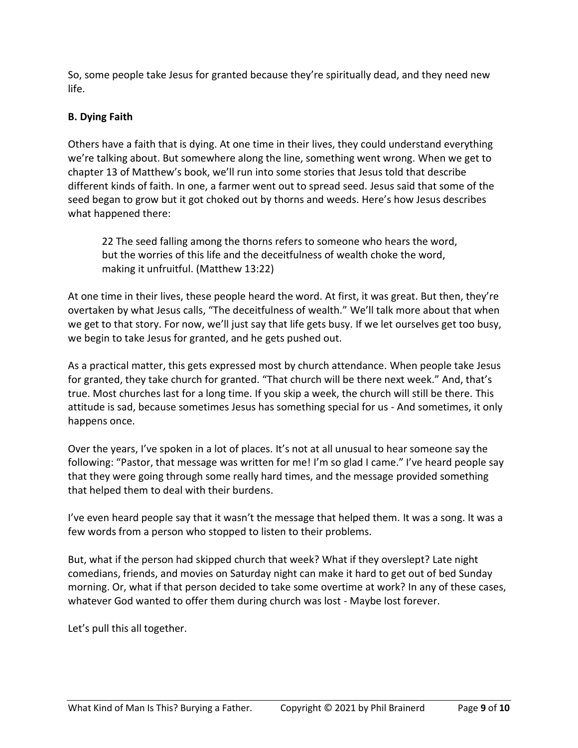So, some people take Jesus for granted because they're spiritually dead, and they need new life.

# **B. Dying Faith**

Others have a faith that is dying. At one time in their lives, they could understand everything we're talking about. But somewhere along the line, something went wrong. When we get to chapter 13 of Matthew's book, we'll run into some stories that Jesus told that describe different kinds of faith. In one, a farmer went out to spread seed. Jesus said that some of the seed began to grow but it got choked out by thorns and weeds. Here's how Jesus describes what happened there:

22 The seed falling among the thorns refers to someone who hears the word, but the worries of this life and the deceitfulness of wealth choke the word, making it unfruitful. (Matthew 13:22)

At one time in their lives, these people heard the word. At first, it was great. But then, they're overtaken by what Jesus calls, "The deceitfulness of wealth." We'll talk more about that when we get to that story. For now, we'll just say that life gets busy. If we let ourselves get too busy, we begin to take Jesus for granted, and he gets pushed out.

As a practical matter, this gets expressed most by church attendance. When people take Jesus for granted, they take church for granted. "That church will be there next week." And, that's true. Most churches last for a long time. If you skip a week, the church will still be there. This attitude is sad, because sometimes Jesus has something special for us - And sometimes, it only happens once.

Over the years, I've spoken in a lot of places. It's not at all unusual to hear someone say the following: "Pastor, that message was written for me! I'm so glad I came." I've heard people say that they were going through some really hard times, and the message provided something that helped them to deal with their burdens.

I've even heard people say that it wasn't the message that helped them. It was a song. It was a few words from a person who stopped to listen to their problems.

But, what if the person had skipped church that week? What if they overslept? Late night comedians, friends, and movies on Saturday night can make it hard to get out of bed Sunday morning. Or, what if that person decided to take some overtime at work? In any of these cases, whatever God wanted to offer them during church was lost - Maybe lost forever.

Let's pull this all together.